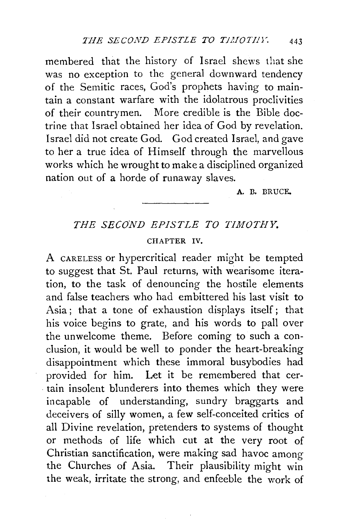membered that the history of Israel shews that she was no exception to the general downward tendency of the Semitic races, God's prophets having to maintain a constant warfare with the idolatrous proclivities of their countrymen. More credible is the Bible doctrine that Israel obtained her idea of God by revelation. Israel did not create God. God created Israel, and gave to her a true idea of Himself through the marvellous works which he wrought to make a disciplined organized nation out of a horde of runaway slaves.

A. B. BRUCE.

## *THE SECOND EPISTLE TO TIMOTHY.*

## CHAPTER IV.

A CARELESS or hypercritical reader might be tempted to suggest that St. Paul returns, with wearisome iteration, to the task of denouncing the hostile elements and false teachers who had embittered his last visit to Asia ; that a tone of exhaustion displays itself; that his voice begins to grate, and his words to pall over the unwelcome theme. Before coming to such a conclusion, it would be well to ponder the heart-breaking disappointment which these immoral busybodies had provided for him. Let it be remembered that certain insolent blunderers into themes which they were incapable of understanding, sundry braggarts and deceivers of silly women, a few self-conceited critics of all Divine revelation, pretenders to systems of thought or methods of life which cut at the very root of Christian sanctification, were making sad havoc among the Churches of Asia. Their plausibility might win the weak, irritate the strong, and enfeeble the work of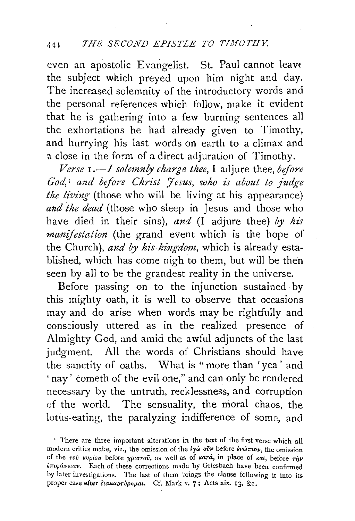even an apostolic Evangelist. St. Paul cannot leavt the subject which preyed upon him night and day. The increased solemnity of the introductory words and the personal references which follow, make it evident that he is gathering into a few burning sentences all the exhortations he had already given to Timothy, and hurrying his last words on earth to a climax and a close in the form of a direct adjuration of Timothy.

*Verse 1.-l solemnly charge thee,* I adjure thee, *before God,* 1 *and before Christ Jesus, 'Who is about to judge the living* (those who will be living at his appearance) *and the dead* (those who sleep in Jesus and those who have died in their sins), *and* (I adjure thee) *by his manifestation* (the grand event which is the hope of the Church), *and by his kingdom,* which is already established, which has come nigh to them, but will be then seen by all to be the grandest reality in the universe.

Before passing on to the injunction sustained by this mighty oath, it is well to observe that occasions may and do arise when words may be rightfully and consciously uttered as in the realized presence of Almighty God, and amid the awful adjuncts of the last judgment. All the words of Christians should have the sanctity of oaths. What is "more than 'yea' and 'nay' cometh of the evil one," and can only be rendered necessary by the untruth, recklessness, and corruption of the world. The sensuality, the moral chaos, the lotus-eating, the paralyzing indifference of some, and

<sup>&</sup>lt;sup>1</sup> There are three important alterations in the text of the first verse which all modern critics make, viz., the omission of the *lγ*ω *ovv* before *lvωπιον*, the omission of the *roi*  $\kappa v \rho i \omega \rho$  before  $\chi \rho i \sigma \tau \omega i$ , as well as of  $\kappa a \tau \alpha$ , in place of  $\kappa a i$ , before  $\tau \eta \nu$  $i\pi\psi\acute{a}\nu\epsilon\iota a\nu$ . Each of these corrections made by Griesbach have been confirmed by later investigations. The last of them brings the clause following it into its proper case after  $\delta$ iauapripopiai. Cf. Mark v. 7; Acts xix. 13, &c.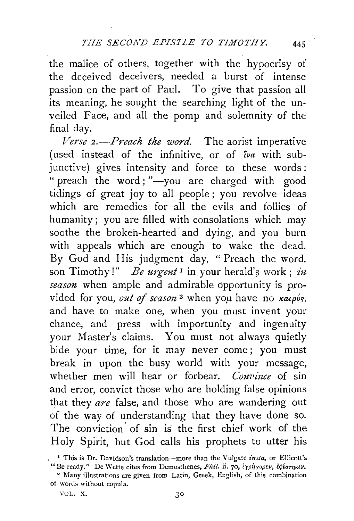the malice of others, together with the hypocrisy of the deceived deceivers, needed a burst of intense passion on the part of Paul. To give that passion all its meaning, he sought the searching light of the unveiled Face, and all the pomp and solemnity of the final day.

*Verse 2.-Preach the word.* The aorist imperative (used instead of the infinitive, or of *tva* with subjunctive) gives intensity and force to these words: " preach the word; "-you are charged with good tidings of great joy to all people; you revolve ideas which are remedies for all the evils and follies of humanity; you are filled with consolations which may soothe the broken-hearted and dying, and you burn with appeals which are enough to wake the dead. By God and His judgment day, " Preach the word, son Timothy!" *Be urgent*<sup>1</sup> in your herald's work; *in season* when ample and admirable opportunity is provided for you, out of season<sup>2</sup> when you have no  $\kappa a_1 \rho_0$ and have to make one, when you must invent your chance, and press with importunity and ingenuity your Master's claims. You must not always quietly bide your time, for it may never come; you must break in upon the busy world with your message, whether men will hear or forbear. *Convince* of sin and error, convict those who are holding false opinions that they *are* false, and those who are wandering out of the way of understanding that they have done so. The conviction of sin is the first chief work of the Holy Spirit, but God calls his prophets to utter his

<sup>&</sup>lt;sup>1</sup> This is Dr. Davidson's translation-more than the Vulgate *insta*, or Ellicott's "Be ready." De Wette cites from Demosthenes, Phil. ii. 70, iyphyopev, εφέστηκεν.

<sup>2</sup> Many illustrations are given from Latin, Greek, English, of this combination of words without copula.

VOL. X. 30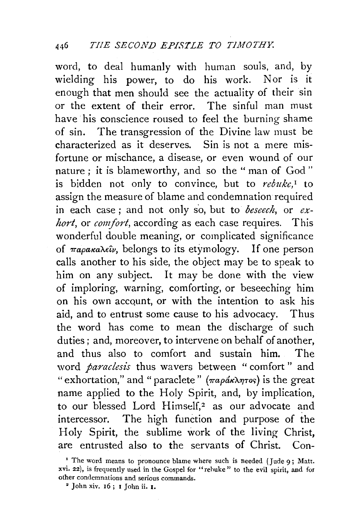word, to deal humanly with human souls, and, by wielding his power, to do his work. Nor is it enough that men should see the actuality of their sin or the extent of their error. The sinful man must have his conscience roused to feel the burning shame of sin. The transgression of the Divine law must be characterized as it deserves. Sin is not a mere misfortune or mischance, a disease, or even wound of our nature ; it is blameworthy, and so the " man of God " is bidden not only to convince, but to *rebuke*,<sup>1</sup> to assign the measure of blame and condemnation required in each case; and not only so, but to *beseech*, or *exhort,* or *comfort,* according as each case requires. This wonderful double meaning, or complicated significance of *παρακαλεΐν*, belongs to its etymology. If one person calls another to his side, the object may be to speak to him on any subject. It may be done with the view of imploring, warning, comforting, or beseeching him on his own account, or with the intention to ask his aid, and to entrust some cause to his advocacy. Thus the word has come to mean the discharge of such duties; and, moreover, to intervene on behalf of another, and thus also to comfort and sustain him. The word *paraclesis* thus wavers between "comfort" and " exhortation," and " paraclete" (παράκλητος) is the great name applied to the Holy Spirit, and, by implication, to our blessed Lord Himself,<sup>2</sup> as our advocate and intercessor. The high function and purpose of the Holy Spirit, the sublime work of the living Christ, are entrusted also to the servants of Christ. Con-

<sup>&</sup>lt;sup>1</sup> The word means to pronounce blame where such is needed (Jude 9; Matt. xvi. 22), is frequently used in the Gospel for "rehuke " to the evil spirit, and for other condemnations and serious commands. 2 John xiv. 16; 1 John ii. 1.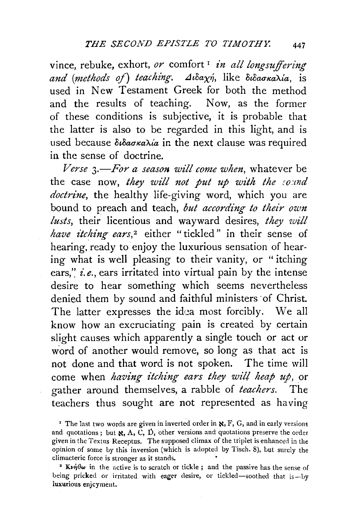vince, rebuke, exhort, *or* comfort<sup>1</sup> *in all longsuffering* and (methods of) teaching. Διδαχή, like διδασκαλία, is used in New Testament Greek for both the method and the results of teaching. Now, as the former of these conditions is subjective, it is probable that the latter is also to be regarded in this light, and is used because  $\delta \iota \delta a \sigma \kappa a \lambda a'$  in the next clause was required in the sense of doctrine.

*Verse 3.-For a season will come when,* whatever be the case now, *they will not put up with the sound doctrine,* the healthy life-giving word, which you are bound to preach and teach, *but according to their own lusts,* their licentious and wayward desires, *they will have itching ears*,<sup>2</sup> either "tickled" in their sense of hearing, ready to enjoy the luxurious sensation of hearing what is well pleasing to their vanity, or "itching ears," *i.e.*, ears irritated into virtual pain by the intense desire to hear something which seems nevertheless denied them by sound and faithful ministers of Christ. The latter expresses the idea most forcibly. We all know how an excruciating pain is created by certain slight causes which apparently a single touch or act or word of another would remove, so long as that act is not done and that word is not spoken. The time will come when *having itching ears they wilt heap up,* or gather around themselves, a rabble of *teachers.* The teachers thus sought are not represented as having

<sup>I</sup> The last two words are given in inverted order in  $\aleph$ , F, G, and in early versions and quotations; but  $\mathbf{x}$ , A, C, D, other versions and quotations preserve the order given in the Textus Receptus. The supposed climax of the triplet is enhanced in the opinion of some by this inversion (which is adopted by Tisch. 8), but surely the climacteric force is stronger as it stands. •

<sup>2</sup>  $K\nu \hat{\theta} \theta \omega$  in the active is to scratch or tickle; and the passive has the sense of being pricked or irritated with eager desire, or tickled-soothed that is-by luxurious enjcyment.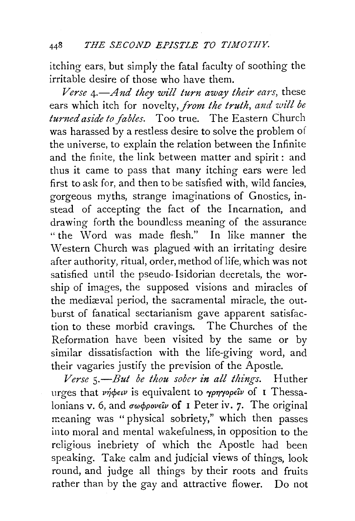itching ears, but simply the fatal faculty of soothing the irritable desire of those who have them.

*Verse A.—And they will turn away their ears, these* ears which itch for novelty, *from the truth, and will be*  turned aside to fables. Too true. The Eastern Church was harassed by a restless desire to solve the problem of the universe, to explain the relation between the Infinite and the finite, the link between matter and spirit: and thus it came to pass that many itching ears were led first to ask for, and then to be satisfied with, wild fancies, gorgeous myths, strange imaginations of Gnostics, instead of accepting the fact of the Incarnation, and drawing forth the boundless meaning of the assurance " the Word was made flesh." In like manner the Western Church was plagued with an irritating desire after authority, ritual, order, method of life, which was not satisfied until the pseudo- Isidorian decretals, the worship of images, the supposed visions and miracles of the mediæval period, the sacramental miracle, the outburst of fanatical sectarianism gave apparent satisfaction to these morbid cravings. The Churches of the Reformation have been visited by the same or by similar dissatisfaction with the life-giving word, and their vagaries justify the prevision of the Apostle.

Verse 5.-But be thou sober in all things. Huther urges that *νήφειν* is equivalent to γρηγορεΐν of **I** Thessalonians v. 6, and  $\sigma\omega\phi\rho\omega\epsilon\hat{i}\nu$  of I Peter iv. 7. The original meaning was " physical sobriety," which then passes into moral and mental wakefulness, in opposition to the religious inebriety of which the Apostle had been speaking. Take calm and judicial views of things, look round, and judge all things by their roots and fruits rather than by the gay and attractive flower. Do not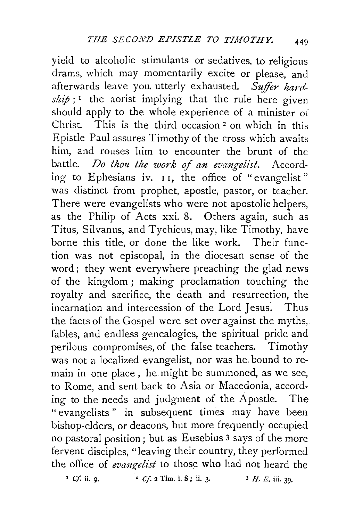yield to alcoholic stimulants or sedatives, to religious drams, which may momentarily excite or please, and afterwards leave you utterly exhausted. *Suffir hard-* $\sinh i$ ;<sup>1</sup> the aorist implying that the rule here given should apply to the whole experience of a minister of Christ. This is the third occasion 2 on which in this Epistle Paul assures Timothy of the cross which awaits him, and rouses him to encounter the brunt of the battle. *Do thou the work of an evangelist.* According to Ephesians iv. 11, the office of "evangelist" was distinct from prophet, apostle, pastor, or teacher. There were evangelists who were not apostolic helpers, as the Philip of Acts xxi. 8. Others again, such as Titus, Silvanus, and Tychicus, may, like Timothy, have borne this title, or done the like work. Their function was not episcopal, in the diocesan sense of the word; they went everywhere preaching the glad news of the kingdom; making proclamation touching the royalty and sacrifice, the death and resurrection, the incarnation and intercession of the Lord Jesus. Thus the facts of the Gospel were set over against the myths, fables, and endless genealogies, the spiritual pride and perilous compromises, of the false teachers. Timothy was not a localized evangelist, nor was he. bound to remain in one place ; he might be summoned, as we see, to Rome, and sent back to Asia or Macedonia, according to the needs and judgment of the Apostle. The "evangelists " in subsequent times may have been bishop-elders, or deacons, but more frequently occupied no pastoral position; but as Eusebius 3 says of the more fervent disciples, "leaving their country, they performed the office of *evangelist* to those who had not heard the

 $\blacksquare$  *Cf.* ii. 9.  $\blacksquare$   $\blacksquare$  *Cf.* 2 Tim. i. 8; ii. 3.  $\blacksquare$   $\blacksquare$   $\blacksquare$   $\blacksquare$   $\blacksquare$   $\blacksquare$   $\blacksquare$   $\blacksquare$   $\blacksquare$   $\blacksquare$   $\blacksquare$   $\blacksquare$   $\blacksquare$   $\blacksquare$   $\blacksquare$   $\blacksquare$   $\blacksquare$   $\blacksquare$   $\blacksquare$   $\blacksquare$   $\blacksquare$   $\blacksquare$   $\blacksquare$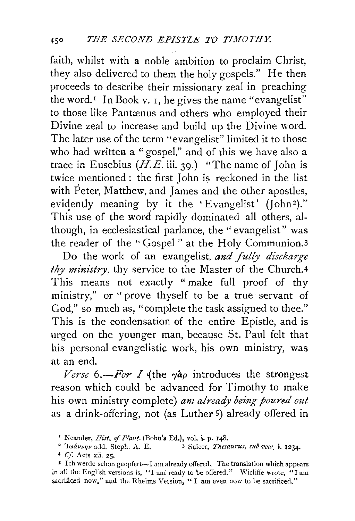faith, whilst with a noble ambition to proclaim Christ, they also delivered to them the holy gospels." He then proceeds to describe their missionary zeal in preaching the word.<sup> $I$ </sup> In Book v. I, he gives the name "evangelist" to those like Pantænus and others who employed their Divine zeal to increase and build up the Divine word. The later use of the term "evangelist" limited it to those who had written a "gospel," and of this we have also a trace in Eusebius  $(H.E.$  iii. 39.) "The name of John is twice mentioned : the first John is reckoned in the list with Peter, Matthew, and James and the other apostles, evidently meaning by it the 'Evangelist' (John<sup>2</sup>)." This use of the word rapidly dominated all others, although, in ecclesiastical parlance, the "evangelist" was the reader of the "Gospel " at the Holy Communion.3

Do the work of an evangelist, and fully discharge *thy ministry*, thy service to the Master of the Church.<sup>4</sup> This means not exactly "make full proof of thy ministry," or "prove thyself to be a true servant of God," so much as, "complete the task assigned to thee." This is the condensation of the entire Epistle, and is urged on the younger man, because St. Paul felt that his personal evangelistic work, his own ministry, was at an end.

*Verse* 6.—*For I* (the  $\gamma a \rho$  introduces the strongest reason which could be advanced for Timothy to make his own ministry complete) *am already being poured out*  as a drink-offering, not (as Luther 5) already offered in

<sup>&</sup>lt;sup>1</sup> Neander, *Hist. of Plant.* (Bohn's Ed.), vol. i. p. 148.<br><sup>2</sup> 'Iwávvny add. Steph. A. E. 3 Suicer, *Thesaurus, sub vace*, *i.* 1234.

<sup>4</sup> *Cf.* Acts xii. 25.<br>5 Ich werde schon geopfert---I am already offered. The translation which appears in all the English versions is, "I ani ready to be offered." Wicliffe wrote, "I am sacrificed now," and the Rheims Version, "I am even now to be sacrificed."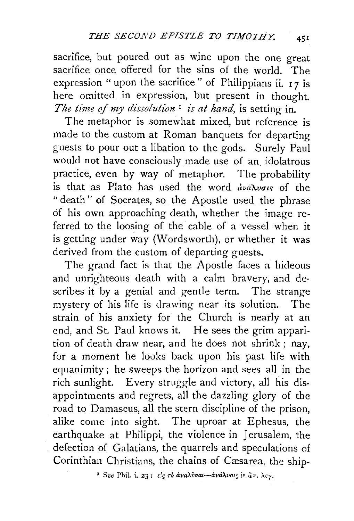sacrifice, but poured out as wine upon the one great sacrifice once offered for the sins of the world. The expression " upon the sacrifice" of Philippians ii.  $17$  is here omitted in expression, but present in thought. *The time of my dissolution*<sup>1</sup> *is at hand*, is setting in.

The metaphor is somewhat mixed, but reference is made to the custom at Roman banquets for departing guests to pour out a libation to the gods. Surely Paul would not have consciously made use of an idolatrous practice, even by way of metaphor. The probability is that as Plato has used the word  $\frac{d}{dx}u\frac{d}{dx}u\sigma v$  of the "death" of Socrates, so the Apostle used the phrase of his own approaching death, whether the image referred to the loosing of the cable of a vessel when it is getting under way (Wordsworth), or whether it was derived from the custom of departing guests.

The grand fact is that the Apostle faces a hideous and unrighteous death with a calm bravery, and describes it by a genial and gentle term. The strange mystery of his life is drawing near its solution. The strain of his anxiety for the Church is nearly at an end, and St. Paul knows it. He sees the grim apparition of death draw near, and he does not shrink; nay, for a moment he looks back upon his past life with equanimity; he sweeps the horizon and sees all in the rich sunlight. Every struggle and victory, all his disappointments and regrets, all the dazzling glory of the road to Damascus, all the stern discipline of the prison, alike come into sight. The uproar at Ephesus, the earthquake at Philippi, the violence in Jerusalem, the defection of Galatians, the quarrels and speculations of Corinthian Christians, the chains of Cæsarea, the ship-

<sup>*•*</sup> See Phil. i. 23:  $\epsilon'$ <sub>5</sub>  $\tau$ <sup>5</sup> ava $\lambda$ ṽσai—ava $\lambda$ vσις is  $\ddot{a}$ π.  $\lambda \epsilon$ y.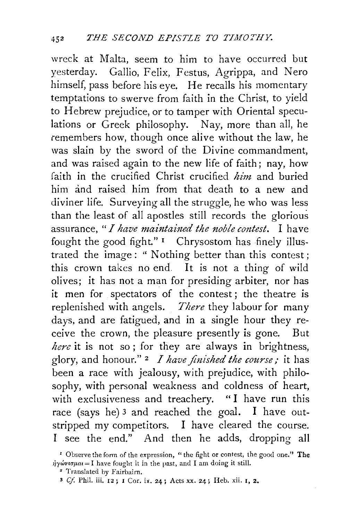wreck at Malta, seem to him to have occurred but yesterday. Gallio, Felix, Festus, Agrippa, and Nero himself, pass before his eye. He recalls his momentary temptations to swerve from faith in the Christ, to yield to Hebrew prejudice, or to tamper with Oriental speculations or Greek philosophy. Nay, more than all, he remembers how, though once alive without the law, he was slain by the sword of the Divine commandment, and was raised again to the new life of faith; nay, how faith in the crucified Christ crucified *him* and buried him and raised him from that death to a new and diviner life. Surveying all the struggle, he who was less than the least of all apostles still records the glorious assurance, "*I have maintained the noble contest*. I have fought the good fight."  $\frac{1}{2}$  Chrysostom has finely illustrated the image: " Nothing better than this contest; this crown takes no end. It is not a thing of wild olives; it has not a man for presiding arbiter, nor has it men for spectators of the contest; the theatre is replenished with angels. *There* they labour for many days, and are fatigued, and in a single hour they receive the crown, the pleasure presently is gone. But *here* it is not so ; for they are always in brightness, glory, and honour." 2 *I have finished the course;* it has been a race with jealousy, with prejudice, with philosophy, with personal weakness and coldness of heart, with exclusiveness and treachery. "I have run this race (says he) 3 and reached the goal. I have outstripped my competitors. I have cleared the course. I see the end." And then he adds, dropping all

<sup>&#</sup>x27; Observe the form of the expression, "the fight or contest, the good one." The  $\dot{\eta} \gamma \dot{\omega} \nu \dot{\sigma} \mu \alpha = I$  have fought it in the past, and I am doing it still.

<sup>•</sup> Translated by Fairbairn.

<sup>3</sup> *Cf.* Phi!. iii. 12; I Cor. ix. 24; Acts xx. 24; Heb. xii. I, 2.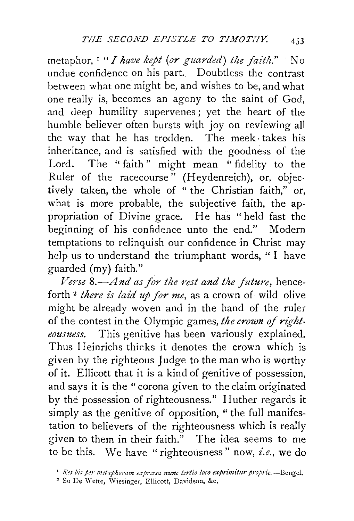metaphor, <sup>1</sup> *"I have kept (or guarded) the faith.*" No undue confidence on his part. Doubtless the contrast between what one might be, and wishes to be, and what one really is, becomes an agony to the saint of God, and deep humility supervenes ; yet the heart of the humble believer often bursts with joy on reviewing all the way that he has trodden. The meek· takes his inheritance, and is satisfied with the goodness of the Lord. The "faith" might mean "fidelity to the Ruler of the racecourse" (Heydenreich), or, objec· tively taken, the whole of " the Christian faith," or, what is more probable, the subjective faith, the appropriation of Divine grace. He has "held fast the beginning of his confidence unto the end." Modern temptations to relinquish our confidence in Christ may help us to understand the triumphant words, " I have guarded (my) faith."

*Verse* 8.—And as for the rest and the future, henceforth <sup>2</sup> *there is laid up for me*, as a crown of wild olive might be already woven and in the hand of the ruler of the contest in the Olympic games, the crown of right*eousness.* This genitive has been variously explained. Thus Heinrichs thinks it denotes the crown which is given by the righteous Judge to the man who is worthy of it. Ellicott that it is a kind of genitive of possession, and says it is the "corona given to the claim originated by the possession of righteousness." Huther regards it simply as the genitive of opposition, "the full manifestation to believers of the righteousness which is really given to them in their faith." The idea seems to me to be this. We have "righteousness" now, *i.e.*, we do

<sup>&</sup>lt;sup>1</sup> Res bis per metaphoram expressa nunc tertio loco exprimitur proprie.-Bengel.

<sup>&</sup>lt;sup>2</sup> So De Wette, Wiesinger, Ellicott, Davidson, &c.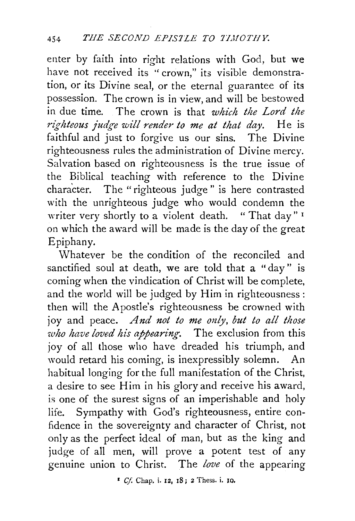enter by faith into right relations with God, but we have not received its "crown," its visible demonstration, or its Divine seal, or the eternal guarantee of its possession. The crown is in view, and will be bestowed in due time. The crown is that *which the Lord the righteous judge will render to me at that day.* He is faithful and just to forgive us our sins. The Divine righteousness rules the administration of Divine mercy. Salvation based on righteousness is the true issue of the Biblical teaching with reference to the Divine character. The "righteous judge" is here contrasted with the unrighteous judge who would condemn the writer very shortly to a violent death. "That day"<sup>1</sup> on which the award will be made is the day of the great Epiphany.

Whatever be the condition of the reconciled and sanctified soul at death, we are told that a "day " is coming when the vindication of Christ will be complete, and the world will be judged by Him in righteousness: then will the Apostle's righteousness be crowned with joy and peace. *And not to me only, but to all those*  who have loved his appearing. The exclusion from this joy of all those who have dreaded his triumph, and would retard his coming, is inexpressibly solemn. An habitual longing for the full manifestation of the Christ, a desire to see Him in his glory and receive his award, is one of the surest signs of an imperishable and holy life. Sympathy with God's righteousness, entire confidence in the sovereignty and character of Christ, not only as the perfect ideal of man, but as the king and judge of all men, will prove a potent test of any genuine union to Christ. The love of the appearing

1 *Cf.* Chap. i. 12, IS; 2 Thess. i. 10.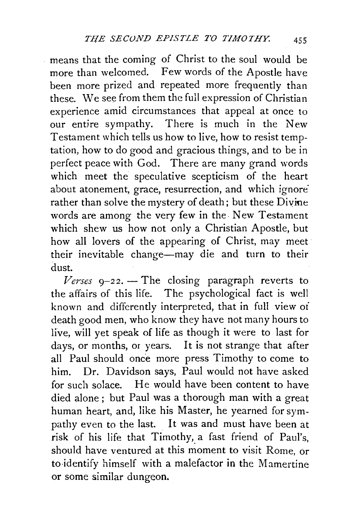means that the coming of Christ to the soul would be more than welcomed. Few words of the Apostle have been more prized and repeated more frequently than these. We see from them the full expression of Christian experience amid circumstances that appeal at once to our entire sympathy. There is much in the New Testament which tells us how to live, how to resist temptation, how to do good and gracious things, and to be in perfect peace with God. There are many grand words which meet the speculative scepticism of the heart about atonement, grace, resurrection, and which ignore<sup>:</sup> rather than solve the mystery of death; but these Divine words are among the very few in the New Testament which shew us how not only a Christian Apostle, but how all lovers of the appearing of Christ, may meet their inevitable change-may die and turn to their dust.

 $9-22$ *. - The closing paragraph reverts to* the affairs of this life. The psychological fact is well known and differently interpreted, that in full view oi death good men, who know they have not many hours to live, will yet speak of life as though it were to last for days, or months, or years. It is not strange that after all Paul should once more press Timothy to come to him. Dr. Davidson says, Paul would not have asked for such solace. He would have been content to have died alone; but Paul was a thorough man with a great human heart, and, like his Master, he yearned for sympathy even to the last. It was and must have been at risk of his life that Timothy, a fast friend of Paul's, should have ventured at this moment to visit Rome, or to-identify himself with a malefactor in the Mamertine or some similar dungeon.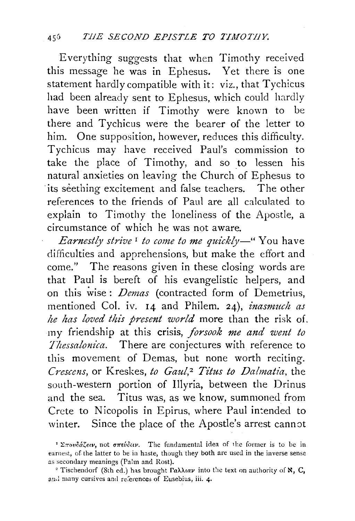Everything suggests that when Timothy received this message he was in Ephesus. Yet there is one statement hardly compatible with it: viz., that Tychicus had been already sent to Ephesus, which could hardly have been written if Timothy were known to be there and Tychicus were the bearer of the letter to him. One supposition, however, reduces this difficulty. Tychicus may have received Paul's commission to take the place of Timothy, and so to lessen his natural anxieties on leaving the Church of Ephesus to its seething excitement and false teachers. The other references to the friends of Paul are all calculated to explain to Timothy the loneliness of the Apostle, a circumstance of which he was not aware.

*Earnestly strive* 1 *to come to me quickly-"* You have difficulties and apprehensions, but make the effort and come." The reasons given in these closing words are that Paul is bereft of his evangelistic helpers, and on this wise: *Demas* (contracted form of Demetrius, mentioned Col. iv. 14 and Philem. 24), *inasmuch as he has loved this present world* more than the risk of. my friendship at this crisis, *forsook me and went to Thessalom'ca.* There are conjectures with reference to this movement of Demas, but none worth reciting. *Crescens,* or Kreskes, *to Gaul, 2 Titus to Dalmatia,* the south-western portion of Illyria, between the Drinus and the sea. Titus was, as we know, summoned from Crete to Nicopolis in Epirus, where Paul intended to winter. Since the place of the Apostle's arrest cannot

<sup>&#</sup>x27; Σπουδάζειν, not σπεύδειν. The fundamental idea of the former is to be in earnest, of the latter to be in haste, though they both are used in the inverse sense as secondary meanings (Palm and Rost).

<sup>&</sup>lt;sup>2</sup> Tischendorf (8th ed.) has brought  $\Gamma$ a $\lambda\lambda$ tav into the text on authority of  $\aleph$ , C, and many cursives and references of Eusebius, iii. 4.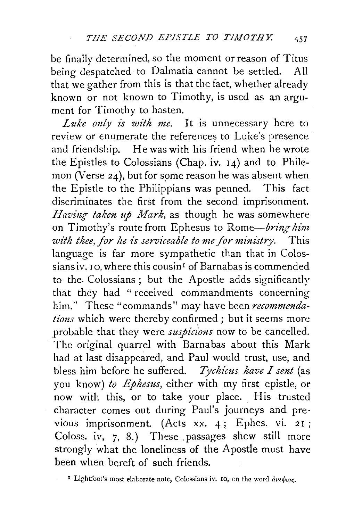be finally determined, so the moment or reason of Titus being despatched to Dalmatia cannot be settled. All that we gather from this is that the fact, whether already known or not known to Timothy, is used as an argument for Timothy to hasten.

*Luke only is with me.* It is unnecessary here to review or enumerate the references to Luke's presence and friendship. He was with his friend when he wrote the Epistles to Colossians (Chap. iv. 14) and to Philemon (Verse  $24$ ), but for some reason he was absent when the Epistle to the Philippians was penned. This fact discriminates the first from the second imprisonment. *Having taken up Mark*, as though he was somewhere on Timothy's route from Ephesus to *Rome-bring· him with thee, for he is serviceable to me /or ministry.* This language is far more sympathetic than that in Colossiansiv. 10, where this cousin<sup>1</sup> of Barnabas is commended to the. Colossians ; but the Apostle adds significantly that they had " received commandments concerning him." These "commands" may have been *recommendations* which were thereby confirmed; but it seems more probable that they were *suspicions* now to be cancelled. The original quarrel with Barnabas about this Mark had at last disappeared, and Paul would trust, use, and bless him before he suffered. *Tychicus have I sent* (as you know) *to Ephesus,* either with my first epistle, or now with this, or to take your place. His trusted character comes out during Paul's journeys and previous imprisonment. (Acts xx. 4; Ephes. vi. 21; Coloss. iv, 7, 8.) These .passages shew still more strongly what the loneliness of the Apostle must have been when bereft of such friends.

<sup>*t*</sup> Lightfoot's most elaborate note, Colossians iv. 10, on the word  $\partial v \partial v \partial c$ .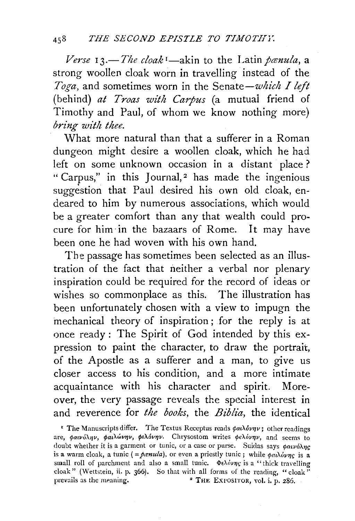*Verse* 13.—*The cloak*<sup>*I*</sup>—akin to the Latin panula, a strong woollen cloak worn in travelling instead of the Toga, and sometimes worn in the Senate-which I left (behind) *at Troas with Carpus* (a mutual friend of Timothy and Paul, of whom we know nothing more) *bring with thee.* 

What more natural than that a sufferer in a Roman dungeon might desire a woollen cloak, which he had left on some unknown occasion in a distant place ? " Carpus," in this Journal,<sup>2</sup> has made the ingenious suggestion that Paul desired his own old cloak, endeared to him by numerous associations, which would be a greater comfort than any that wealth could procure for him· in the bazaars of Rome. It may have been one he had woven with his own hand.

The passage has sometimes been selected as an illustration of the fact that neither a verbal nor plenary inspiration could be required for the record of ideas or wishes so commonplace as this. The illustration has been unfortunately chosen with a view to impugn the mechanical theory of inspiration ; for the reply is at once ready : The Spirit of God intended by this expression to paint the character, to draw the portrait, of the Apostle as a sufferer and a man, to give us closer access to his condition, and a more intimate acquaintance with his character and spirit. Moreover, the very passage reveals the special interest in and reverence for *the books,* the *Biblia,* the identical

' The Manuscripts differ. The Textus Receptus reads  $\phi a_l \lambda \delta \nu \eta \nu$ ; other readings are,  $\phi a\nu\omega\lambda\eta\nu$ ,  $\phi a\lambda\omega\nu\eta\nu$ ,  $\phi \epsilon\lambda\omega\eta\nu$ . Chrysostom writes  $\phi \epsilon\lambda\omega\eta\nu$ , and seems to doubt whether it is a garment or tunic, or a case or purse. Suidas says  $\phi a \psi b \lambda n c$ is a warm cloak, a tunic (= $\frac{\partial \text{c}}{\partial x}$ , or even a priestly tunic; while  $\frac{\partial \text{c}}{\partial y}$  is a small roll of parchment and also a small tunic.  $\Phi \epsilon \lambda \delta \nu \eta c$  is a "thick travelling cloak" (Wettstein, ii. p. 366). So that with all forms of the reading, "cloak" prevails as the meaning. 2 THE EXPOSITOR, vol. i. p. 286.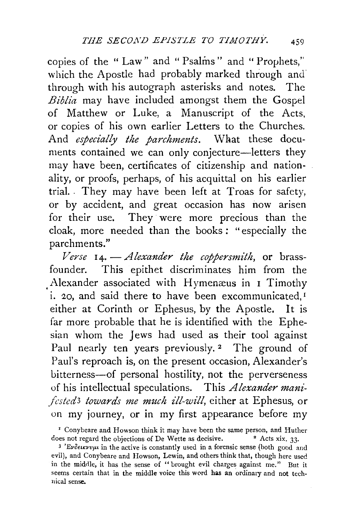copies of the " Law" and " Psalms" and " Prophets," which the Apostle had probably marked through and through with his autograph asterisks and notes. The *Biblia* may have included amongst them the Gospel of Matthew or Luke, a Manuscript of the Acts, or copies of his own earlier Letters to the Churches. And *especially the parchments*. What these documents contained we can only conjecture-letters they may have been, certificates of citizenship and nationality, or proofs, perhaps, of his acquittal on his earlier trial. . They may have been left at Troas for safety, or by accident, and great occasion has now arisen for their use. They were more precious than the cloak, more needed than the books : " especially the parchments."

*Verse* I 4· - *Alexander the coppersmith,* or brassfounder. This epithet discriminates him from the Alexander associated with Hymenæus in I Timothy i. 20, and said there to have been excommunicated,<sup>I</sup> either at Corinth or Ephesus, by the Apostle. It is far more probable that he is identified with the Ephesian whom the Jews had used as their tool against Paul nearly ten years previously.<sup>2</sup> The ground of Paul's reproach is, on the present occasion, Alexander's bitterness-of personal hostility, not the perverseness of his intellectual speculations. This *Alexander manifcsted3 towards me much ill-will,* either at Ephesus, or on my journey, or in my first appearance before my

<sup>&#</sup>x27; Conybeare and Howson think it may have been the same person, and Huther does not regard the objections of De Wette as decisive.  $\cdot$  Acts xix. 33.

<sup>&</sup>lt;sup>3</sup> 'Evoeuxvyu in the active is constantly used in a forensic sense (both good and evil), and Conybeare and Howson, Lewin, and others think that, though here used in the middle, it has the sense of "brought evil charges against me." But it seems certain that in the middle voice this word has an ordinary and not tech· nical sense.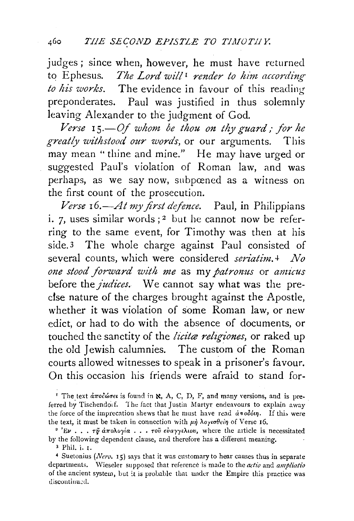judges; since when, however, he must have returned to E phesus. *The Lord will* 1 *render to him according to his works.* The evidence in favour of this reading preponderates. Paul was justified in thus solemnly leaving Alexander to the judgment of God.

*Verse* 15.–Of whom be thou on thy guard; for he *greatly withstood our words,* or our arguments. This may mean " thine and mine." He may have urged or suggested Paul's violation of Roman law, and was perhaps, as we say now, subpœned as a witness on the first count of the prosecution.

*Verse 16.-At my first defence.* Paul, in Philippians i.  $7$ , uses similar words;<sup>2</sup> but he cannot now be referring to the same event, for Timothy was then at his side.3 The whole charge against Paul consisted of several counts, which were considered *seriatim.+ No one stood .forward with me* as my *patromts* or *amicus*  before the *judices*. We cannot say what was the predse nature of the charges brought against the Apostle, whether it was violation of some Roman law, or new edict, or had to do with the absence of documents, or touched the sanctity of the *licitae religiones*, or raked up the old Jewish calumnies. The custom of the Roman courts allowed witnesses to speak in a prisoner's favour. On this occasion his friends were afraid to stand for-

<sup>1</sup> The text *αποδώσει* is found in **x**, A, C, D, F, and many versions, and is preferred by Tischendo1f. The fact that Justin Martyr endeavours to explain away the force of the imprecation shews that he must have read  $d\pi o\delta \omega$ *n*. If this were the text, it must be taken in connection with *μή* λογισθείη of Verse 16.<br><sup>2</sup> 'Εν . •• τỹ ἀπολογία · •• τοῦ εὐαγγελιου, where the article is necessitated

by the following dependent clause, and therefore has a different meaning.

<sup>3</sup> Phil. i. 1.

<sup>4</sup> Suetonins *(Nero.* 15) says that it was customary to hear canses thus in separate departments. \Vieseler supposed that reference is made to the *actio* and *ampliatio*  of the ancient system, but it is probable that under the Empire this practice was discontinued.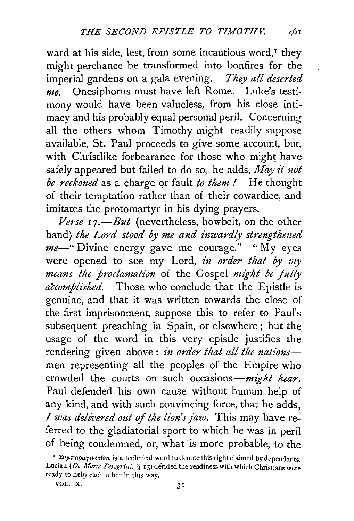ward at his side, lest, from some incautious word,<sup>1</sup> they might perchance be transformed into bonfires for the imperial gardens on a gala evening. *They all deserted me.* Onesiphorus must have left Rome. Luke's testimony would have been valueless, from his close intimacy and his probably equal personal peril. Concerning all the others whom Timothy might readily suppose available, St. Paul proceeds to give some account, but, with Christlike forbearance for those who might have safely appeared but failed to do so, he adds, *May it not be reckoned* as a charge *qr* fault *to them I* He thought of their temptation rather than of their cowardice, and imitates the protomartyr in his dying prayers.

*Verse* r *7.-But* (nevertheless, howbeit, on the other hand) *the Lord stood by me and inwardly strengthened me-"* Divine energy gave me courage." "My eyes were opened to see my Lord, in order that by my *means the proclamation* of the Gospel *might be fully accomplt'shed.* Those who conclude that the Epistle is genuine, and that it was written towards the close of the first imprisonment, suppose this to refer to Paul's subsequent preaching in Spain, or elsewhere; but the usage of the word in this very epistle justifies the rendering given above : *in order that all the natimzs*men representing all the peoples of the Empire who crowded the courts on such occasions-might hear. Paul defended his own cause without human help of any kind, and with such convincing force, that he adds, I *was delivered out of the lion's faw.* This may have referred to the gladiatorial sport to which he was in peril of being condemned, or, what is more probable, to the

<sup>&</sup>lt;sup>1</sup>  $\Sigma \nu \mu \pi a \rho a \gamma i \nu \tau \sigma \theta a$  is a technical word to denote this right claimed by dependants. Lucian (De Morte Peregrini, § 13) derided the readiness with which Christians were ready to help each other in this way.

VOL. X.  $31$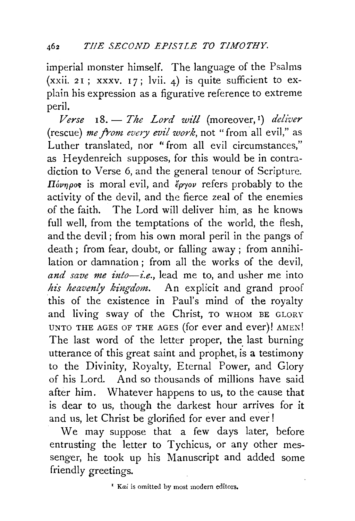imperial monster himself. The language of the Psalms (xxii. 21; xxxv. 17; lvii. 4) is quite sufficient to explain his expression as a figurative reference to extreme peril.

*Verse* IS.- *The Lord will* (moreover, 1) *deliver*  (rescue) *me from every evil work,* not "from all evil," as Luther translated, nor "from all evil circumstances," as Heydenreich supposes, for this would be in contradiction to Verse 6, and the general tenour of Scripture.  $\Pi$ <sub>ovnpos</sub> is moral evil, and  $\ell$ <sub>p</sub>yov refers probably to the activity of the devil, and the fierce zeal of the enemies of the faith. The Lord will deliver him. as he knows full well, from the temptations of the world, the flesh, and the devil ; from his own moral peril in the pangs of death ; from fear, doubt, or falling away ; from annihilation or damnation ; from all the works of the devil, *and save me into-i.e.,* lead me to, and usher me into his heavenly kingdom. An explicit and grand proof this of the existence in Paul's mind of the royalty and living sway of the Christ, TO WHOM BE GLORY UNTO THE AGES OF THE AGES (for ever and ever)! AMEN! The last word of the letter proper, the last burning utterance of this great saint and prophet, is a testimony to the Divinity, Royalty, Eternal Power, and Glory of his Lord. And so thousands of millions have said after him. Whatever happens to us, to the cause that is dear to us, though the darkest hour arrives for it and us, let Christ be glorified for ever and ever !

We may suppose that a few days later, before entrusting the letter to Tychicus, or any other messenger, he took up his Manuscript and added some friendly greetings.

<sup>1</sup> Kai is omitted by most modern editors.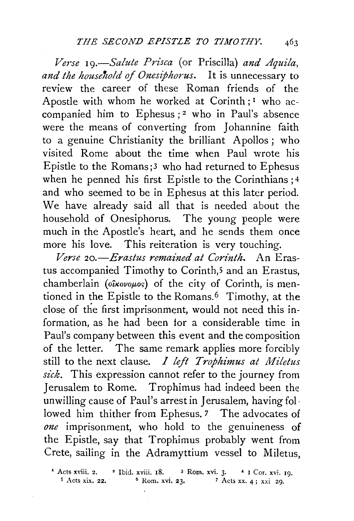*Verse 19.-Salute Prisca* (or Priscilla) *and Aquila,*  and the household of Onesiphorus. It is unnecessary to review the career of these Roman friends of the Apostle with whom he worked at Corinth; I who accompanied him to Ephesus; 2 who in Paul's absence were the means of converting from Johannine faith to a genuine Christianity the brilliant Apollos; who visited Rome about the time when Paul wrote his Epistle to the Romans ;3 who had returned to Ephesus when he penned his first Epistle to the Corinthians; 4 and who seemed to be in Ephesus at this later period. We have already said all that is needed about the household of Onesiphorus. The young people were much in the Apostle's heart, and he sends them once more his love. This reiteration is very touching.

*Verse 20.-Erastus remained at Corinth.* An Erastus accompanied Timothy to Corinth,<sup>5</sup> and an Erastus, chamberlain *(oîkovoµos)* of the city of Corinth, is mentioned in the Epistle to the Romans.<sup>6</sup> Timothy, at the close of the first imprisonment, would not need this information, as he had been for a considerable time in Paul's company between this event and the composition of the letter. The same remark applies more forcibly still to the next clause. *I left T ropkimus at Miletus sick.* This expression cannot refer to the journey from Jerusalem to Rome. Trophimus had indeed been the unwilling cause of Paul's arrest in Jerusalem, having followed him thither from Ephesus. 7 The advocates of *one* imprisonment, who hold to the genuineness of the Epistle, say that Trophimus probably went from Crete, sailing in the Adramyttium vessel to Miletus,

• Acts xviii. 2. • Ibid. xviii. r8. 3 Rom. xvi. 3· *4* I Cor. xvi. 19.  $5$  Acts xix. 22.  $6$  Rom. xvi. 23.  $7$  Acts xx. 4; xxi 29.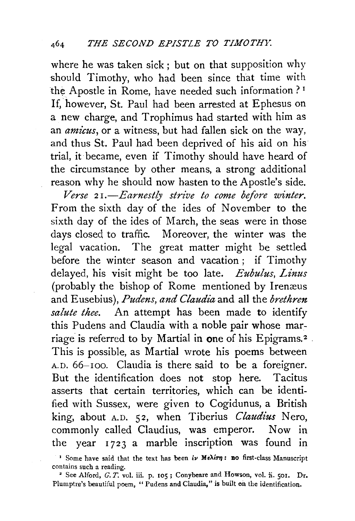where he was taken sick; but on that supposition why should Timothy, who had been since that time with the Apostle in Rome, have needed such information ?<sup>1</sup> If, however, St. Paul had been arrested at Ephesus on a new charge, and Trophimus had started with him as an *amicus,* or a witness, but had fallen sick on the way, and thus St. Paul had been deprived of his aid on his trial, it became, even if Timothy should have heard of the circumstance by other means, a strong additional reason why he should now hasten to the Apostle's side.

*Verse* 2 *I.-Earnestly strive to come before winter.*  From the sixth day of the ides of November to the sixth day of the ides of March, the seas were in those days closed to traffic. Moreover, the winter was the legal vacation. The great matter might be settled before the winter season and vacation ; if Timothy delayed, his visit might be too late. *Eubulus, Linus*  (probably the bishop of Rome mentioned by Irenæus and Eusebius), *Pudens, and Claudiaand* all the *brethren salute thee.* An attempt has been made to identify this Pudens and Claudia with a noble pair whose marriage is referred to by Martial in one of his Epigrams.<sup>2</sup> This is possible, as Martial wrote his poems between A.D. 66-100. Claudia is there said to be a foreigner. But the identification does not stop here. Tacitus asserts that certain territories, which can be identified with Sussex, were given to Cogidunus, a British king, about A.D. 52, when Tiberius *Claudius* Nero, commonly called Claudius, was emperor. Now in the year 1723 a marble inscription was found in

<sup>&#</sup>x27;' Some have said that the text has been *lv* Me $\lambda$ irn: no first-class Manuscript contains such a reading.

<sup>&</sup>lt;sup>2</sup> See Alford, G. T. vol. iii. p. 105; Conybeare and Howson, vol. ii. 501. Dr. Plumptre's beautiful poem, "Pudens and Claudia," is built on the identification.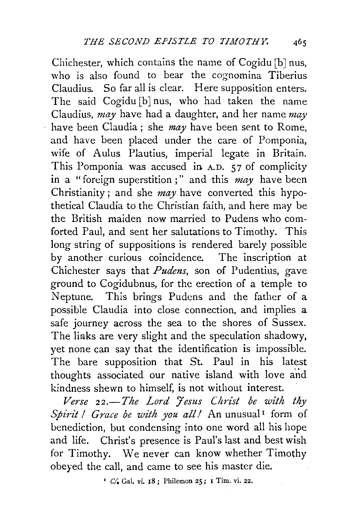Chichester, which contains the name of Cogidu [b] nus, who is also found to bear the cognomina Tiberius Claudius. So far all is clear. Here supposition enters. The said Cogidu [b] nus, who had taken the name Claudius, *may* have had a daughter, and her name *may*  have been Claudia; she *may* have been sent to Rome, and have been placed under the care of Pomponia, wife of Aulus Plautius, imperial legate in Britain. This Pomponia was accused in A.D. 57 of complicity in a "foreign superstition;" and this *may* have been Christianity; and she *may* have converted this hypothetical Claudia to the Christian faith, and here may be the British maiden now married to Pudens who comforted Paul, and sent her salutations to Timothy. This long string of suppositions is rendered barely possible by another curious coincidence. The inscription at Chichester says that *Pudens,* son of Pudentius, gave ground to Cogidubnus, for the erection of a temple to Neptune. This brings Pudens and the father of a possible Claudia into close connection, and implies a safe journey across the sea to the shores of Sussex. The links are very slight and the speculation shadowy, yet none can say that the identification is impossible. The bare supposition that St. Paul in his latest thoughts associated our native island with love a'nd kindness shewn to himself, is not without interest.

Ŷ,

 $Verse$  22.-The Lord Jesus Christ be with thy *Spirit! Grace be with you all!* An unusual<sup>1</sup> form of benediction, but condensing into one word all his hope and life. Christ's presence is Paul's last and best wish for Timothy. We never can know whether Timothy obeyed the call, and came to see his master die.

<sup>1</sup>  $C/$  Gal. vi. 18; Philemon 25; I Tim. vi. 22.